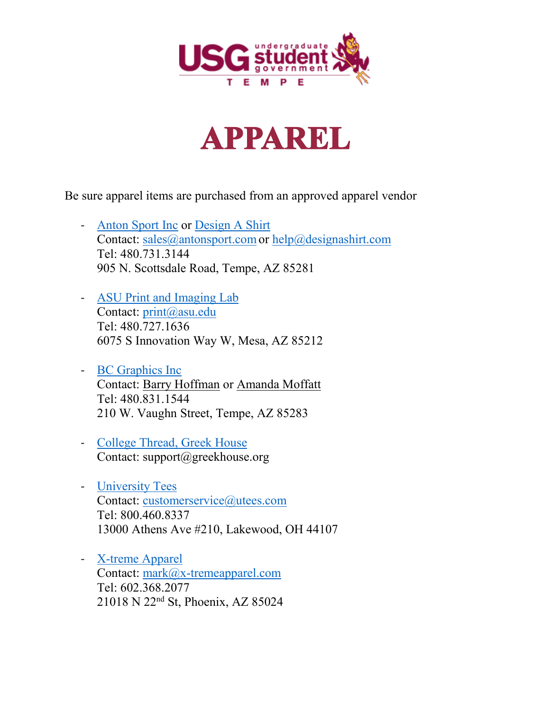



Be sure apparel items are purchased from an approved apparel vendor

- [Anton Sport](http://www.antonsport.com/) Inc or Design [A Shirt](http://designashirt.com/) Contact: sales@antonsport.com or [help@designashirt.com](mailto:help@designashirt.com) Tel: 480.731.3144 905 N. Scottsdale Road, Tempe, AZ 85281
- [ASU Print and Imaging Lab](https://print.asu.edu/) Contact: [print@asu.edu](mailto:print@asu.edu) Tel: 480.727.1636 6075 S Innovation Way W, Mesa, AZ 85212
- [BC Graphics](http://www.bcgraphics.com/) Inc Contact: Barry [Hoffman](mailto:bhoffman@bcgraphics.com) or [Amanda](mailto:amanda@bcgraphics.com) Moffatt Tel: 480.831.1544 210 W. Vaughn Street, Tempe, AZ 85283
- [College Thread, Greek House](https://greekhouse.org/) Contact: support@greekhouse.org
- [University Tees](https://universitytees.com/) Contact: [customerservice@utees.com](mailto:customerservice@utees.com) Tel: 800.460.8337 13000 Athens Ave #210, Lakewood, OH 44107
- [X-treme Apparel](https://www.x-tremeapparel.com/) Contact: [mark@x-tremeapparel.com](mailto:mark@x-tremeapparel.com) Tel: 602.368.2077 21018 N 22nd St, Phoenix, AZ 85024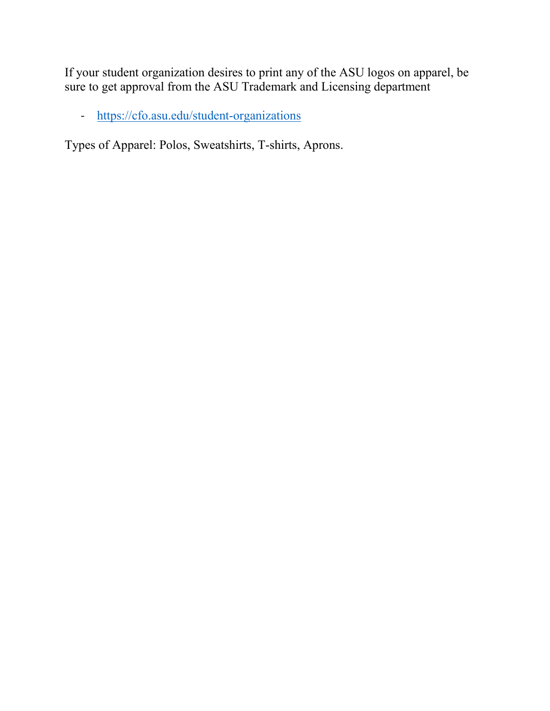If your student organization desires to print any of the ASU logos on apparel, be sure to get approval from the ASU Trademark and Licensing department

- <https://cfo.asu.edu/student-organizations>

Types of Apparel: Polos, Sweatshirts, T-shirts, Aprons.